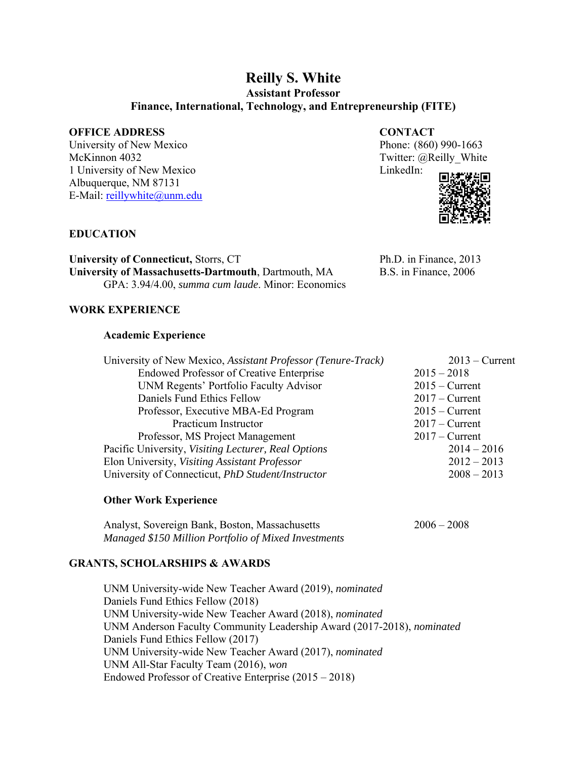# **Reilly S. White**

**Assistant Professor** 

**Finance, International, Technology, and Entrepreneurship (FITE)**

# **OFFICE ADDRESS CONTACT**

University of New Mexico Phone: (860) 990-1663 McKinnon 4032 Twitter: @Reilly White 1 University of New Mexico LinkedIn: Albuquerque, NM 87131 E-Mail: reillywhite@unm.edu



# **EDUCATION**

**University of Connecticut, Storrs, CT** Ph.D. in Finance, 2013 **University of Massachusetts-Dartmouth**, Dartmouth, MA B.S. in Finance, 2006 GPA: 3.94/4.00, *summa cum laude*. Minor: Economics

# **WORK EXPERIENCE**

# **Academic Experience**

| University of New Mexico, Assistant Professor (Tenure-Track) | $2013$ – Current |
|--------------------------------------------------------------|------------------|
| <b>Endowed Professor of Creative Enterprise</b>              | $2015 - 2018$    |
| UNM Regents' Portfolio Faculty Advisor                       | $2015 -$ Current |
| Daniels Fund Ethics Fellow                                   | $2017 -$ Current |
| Professor, Executive MBA-Ed Program                          | $2015 -$ Current |
| Practicum Instructor                                         | $2017 -$ Current |
| Professor, MS Project Management                             | $2017 -$ Current |
| Pacific University, Visiting Lecturer, Real Options          | $2014 - 2016$    |
| Elon University, Visiting Assistant Professor                | $2012 - 2013$    |
| University of Connecticut, PhD Student/Instructor            | $2008 - 2013$    |
|                                                              |                  |

# **Other Work Experience**

Analyst, Sovereign Bank, Boston, Massachusetts 2006 – 2008 *Managed \$150 Million Portfolio of Mixed Investments* 

# **GRANTS, SCHOLARSHIPS & AWARDS**

UNM University-wide New Teacher Award (2019), *nominated* Daniels Fund Ethics Fellow (2018) UNM University-wide New Teacher Award (2018), *nominated* UNM Anderson Faculty Community Leadership Award (2017-2018), *nominated*  Daniels Fund Ethics Fellow (2017) UNM University-wide New Teacher Award (2017), *nominated* UNM All-Star Faculty Team (2016), *won*  Endowed Professor of Creative Enterprise (2015 – 2018)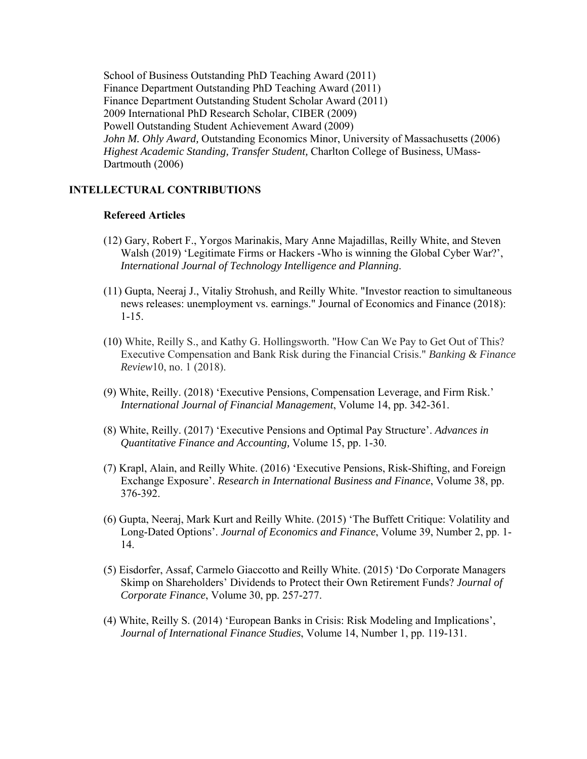School of Business Outstanding PhD Teaching Award (2011) Finance Department Outstanding PhD Teaching Award (2011) Finance Department Outstanding Student Scholar Award (2011) 2009 International PhD Research Scholar, CIBER (2009) Powell Outstanding Student Achievement Award (2009) *John M. Ohly Award,* Outstanding Economics Minor, University of Massachusetts (2006) *Highest Academic Standing, Transfer Student,* Charlton College of Business, UMass-Dartmouth (2006)

# **INTELLECTURAL CONTRIBUTIONS**

#### **Refereed Articles**

- (12) Gary, Robert F., Yorgos Marinakis, Mary Anne Majadillas, Reilly White, and Steven Walsh (2019) 'Legitimate Firms or Hackers -Who is winning the Global Cyber War?', *International Journal of Technology Intelligence and Planning*.
- (11) Gupta, Neeraj J., Vitaliy Strohush, and Reilly White. "Investor reaction to simultaneous news releases: unemployment vs. earnings." Journal of Economics and Finance (2018): 1-15.
- (10) White, Reilly S., and Kathy G. Hollingsworth. "How Can We Pay to Get Out of This? Executive Compensation and Bank Risk during the Financial Crisis." *Banking & Finance Review*10, no. 1 (2018).
- (9) White, Reilly. (2018) 'Executive Pensions, Compensation Leverage, and Firm Risk.' *International Journal of Financial Management*, Volume 14, pp. 342-361.
- (8) White, Reilly. (2017) 'Executive Pensions and Optimal Pay Structure'. *Advances in Quantitative Finance and Accounting,* Volume 15, pp. 1-30.
- (7) Krapl, Alain, and Reilly White. (2016) 'Executive Pensions, Risk-Shifting, and Foreign Exchange Exposure'. *Research in International Business and Finance*, Volume 38, pp. 376-392.
- (6) Gupta, Neeraj, Mark Kurt and Reilly White. (2015) 'The Buffett Critique: Volatility and Long-Dated Options'. *Journal of Economics and Finance*, Volume 39, Number 2, pp. 1- 14.
- (5) Eisdorfer, Assaf, Carmelo Giaccotto and Reilly White. (2015) 'Do Corporate Managers Skimp on Shareholders' Dividends to Protect their Own Retirement Funds? *Journal of Corporate Finance*, Volume 30, pp. 257-277.
- (4) White, Reilly S. (2014) 'European Banks in Crisis: Risk Modeling and Implications', *Journal of International Finance Studies*, Volume 14, Number 1, pp. 119-131.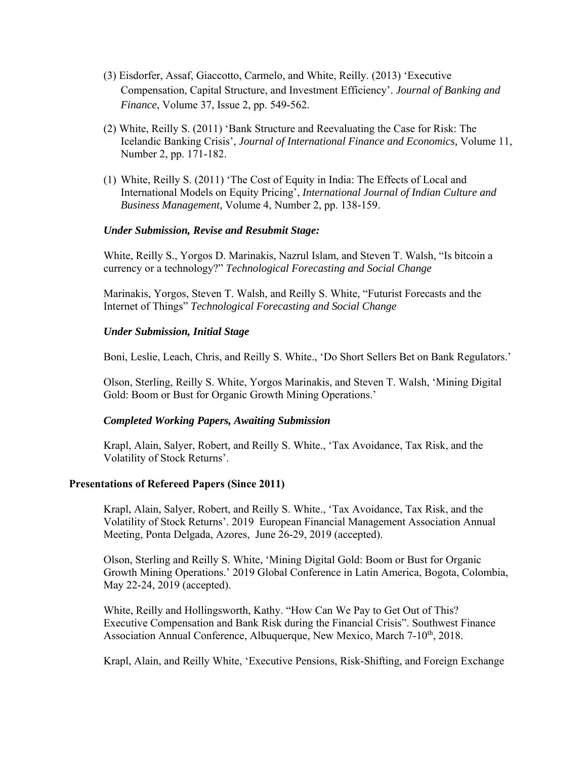- (3) Eisdorfer, Assaf, Giaccotto, Carmelo, and White, Reilly. (2013) 'Executive Compensation, Capital Structure, and Investment Efficiency'. *Journal of Banking and Finance*, Volume 37, Issue 2, pp. 549-562.
- (2) White, Reilly S. (2011) 'Bank Structure and Reevaluating the Case for Risk: The Icelandic Banking Crisis', *Journal of International Finance and Economics,* Volume 11, Number 2, pp. 171-182.
- (1) White, Reilly S. (2011) 'The Cost of Equity in India: The Effects of Local and International Models on Equity Pricing', *International Journal of Indian Culture and Business Management,* Volume 4, Number 2, pp. 138-159.

# *Under Submission, Revise and Resubmit Stage:*

White, Reilly S., Yorgos D. Marinakis, Nazrul Islam, and Steven T. Walsh, "Is bitcoin a currency or a technology?" *Technological Forecasting and Social Change* 

Marinakis, Yorgos, Steven T. Walsh, and Reilly S. White, "Futurist Forecasts and the Internet of Things" *Technological Forecasting and Social Change* 

# *Under Submission, Initial Stage*

Boni, Leslie, Leach, Chris, and Reilly S. White., 'Do Short Sellers Bet on Bank Regulators.'

Olson, Sterling, Reilly S. White, Yorgos Marinakis, and Steven T. Walsh, 'Mining Digital Gold: Boom or Bust for Organic Growth Mining Operations.'

# *Completed Working Papers, Awaiting Submission*

Krapl, Alain, Salyer, Robert, and Reilly S. White., 'Tax Avoidance, Tax Risk, and the Volatility of Stock Returns'.

# **Presentations of Refereed Papers (Since 2011)**

Krapl, Alain, Salyer, Robert, and Reilly S. White., 'Tax Avoidance, Tax Risk, and the Volatility of Stock Returns'. 2019 European Financial Management Association Annual Meeting, Ponta Delgada, Azores, June 26-29, 2019 (accepted).

Olson, Sterling and Reilly S. White, 'Mining Digital Gold: Boom or Bust for Organic Growth Mining Operations.' 2019 Global Conference in Latin America, Bogota, Colombia, May 22-24, 2019 (accepted).

White, Reilly and Hollingsworth, Kathy. "How Can We Pay to Get Out of This? Executive Compensation and Bank Risk during the Financial Crisis". Southwest Finance Association Annual Conference, Albuquerque, New Mexico, March 7-10<sup>th</sup>, 2018.

Krapl, Alain, and Reilly White, 'Executive Pensions, Risk-Shifting, and Foreign Exchange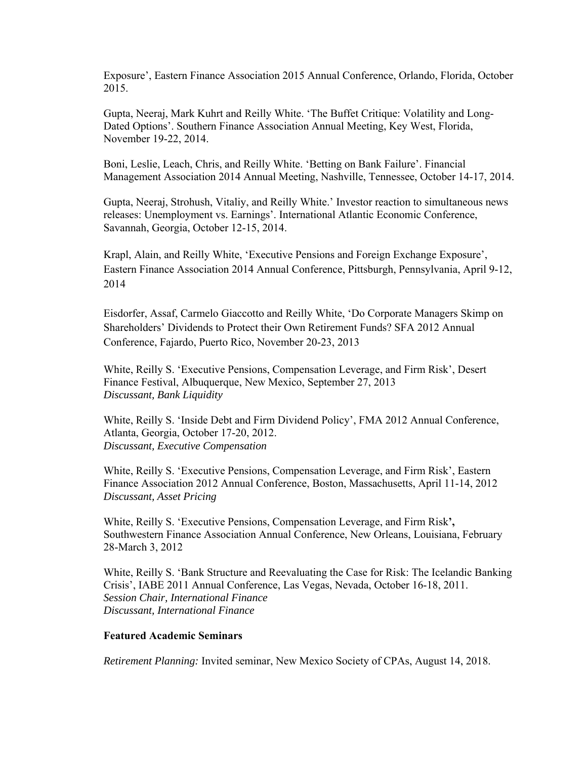Exposure', Eastern Finance Association 2015 Annual Conference, Orlando, Florida, October 2015.

Gupta, Neeraj, Mark Kuhrt and Reilly White. 'The Buffet Critique: Volatility and Long-Dated Options'. Southern Finance Association Annual Meeting, Key West, Florida, November 19-22, 2014.

Boni, Leslie, Leach, Chris, and Reilly White. 'Betting on Bank Failure'. Financial Management Association 2014 Annual Meeting, Nashville, Tennessee, October 14-17, 2014.

Gupta, Neeraj, Strohush, Vitaliy, and Reilly White.' Investor reaction to simultaneous news releases: Unemployment vs. Earnings'. International Atlantic Economic Conference, Savannah, Georgia, October 12-15, 2014.

Krapl, Alain, and Reilly White, 'Executive Pensions and Foreign Exchange Exposure', Eastern Finance Association 2014 Annual Conference, Pittsburgh, Pennsylvania, April 9-12, 2014

Eisdorfer, Assaf, Carmelo Giaccotto and Reilly White, 'Do Corporate Managers Skimp on Shareholders' Dividends to Protect their Own Retirement Funds? SFA 2012 Annual Conference, Fajardo, Puerto Rico, November 20-23, 2013

White, Reilly S. 'Executive Pensions, Compensation Leverage, and Firm Risk', Desert Finance Festival, Albuquerque, New Mexico, September 27, 2013 *Discussant, Bank Liquidity*

White, Reilly S. 'Inside Debt and Firm Dividend Policy', FMA 2012 Annual Conference, Atlanta, Georgia, October 17-20, 2012. *Discussant, Executive Compensation*

White, Reilly S. 'Executive Pensions, Compensation Leverage, and Firm Risk', Eastern Finance Association 2012 Annual Conference, Boston, Massachusetts, April 11-14, 2012 *Discussant, Asset Pricing*

White, Reilly S. 'Executive Pensions, Compensation Leverage, and Firm Risk**',**  Southwestern Finance Association Annual Conference, New Orleans, Louisiana, February 28-March 3, 2012

White, Reilly S. 'Bank Structure and Reevaluating the Case for Risk: The Icelandic Banking Crisis', IABE 2011 Annual Conference, Las Vegas, Nevada, October 16-18, 2011. *Session Chair, International Finance Discussant, International Finance* 

### **Featured Academic Seminars**

*Retirement Planning:* Invited seminar, New Mexico Society of CPAs, August 14, 2018.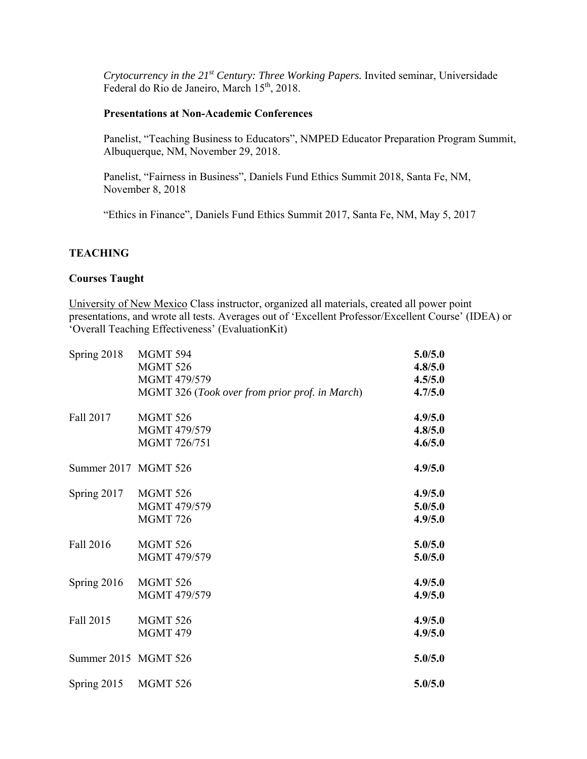*Crytocurrency in the 21st Century: Three Working Papers.* Invited seminar, Universidade Federal do Rio de Janeiro, March 15<sup>th</sup>, 2018.

# **Presentations at Non-Academic Conferences**

Panelist, "Teaching Business to Educators", NMPED Educator Preparation Program Summit, Albuquerque, NM, November 29, 2018.

Panelist, "Fairness in Business", Daniels Fund Ethics Summit 2018, Santa Fe, NM, November 8, 2018

"Ethics in Finance", Daniels Fund Ethics Summit 2017, Santa Fe, NM, May 5, 2017

# **TEACHING**

# **Courses Taught**

University of New Mexico Class instructor, organized all materials, created all power point presentations, and wrote all tests. Averages out of 'Excellent Professor/Excellent Course' (IDEA) or 'Overall Teaching Effectiveness' (EvaluationKit)

| Spring 2018          | MGMT 594                                       | 5.0/5.0 |
|----------------------|------------------------------------------------|---------|
|                      | <b>MGMT 526</b>                                | 4.8/5.0 |
|                      | MGMT 479/579                                   | 4.5/5.0 |
|                      | MGMT 326 (Took over from prior prof. in March) | 4.7/5.0 |
| Fall 2017            | <b>MGMT 526</b>                                | 4.9/5.0 |
|                      | MGMT 479/579                                   | 4.8/5.0 |
|                      | MGMT 726/751                                   | 4.6/5.0 |
| Summer 2017 MGMT 526 |                                                | 4.9/5.0 |
| Spring 2017          | <b>MGMT 526</b>                                | 4.9/5.0 |
|                      | MGMT 479/579                                   | 5.0/5.0 |
|                      | <b>MGMT 726</b>                                | 4.9/5.0 |
| Fall 2016            | <b>MGMT 526</b>                                | 5.0/5.0 |
|                      | MGMT 479/579                                   | 5.0/5.0 |
| Spring 2016          | <b>MGMT 526</b>                                | 4.9/5.0 |
|                      | MGMT 479/579                                   | 4.9/5.0 |
| Fall 2015            | <b>MGMT 526</b>                                | 4.9/5.0 |
|                      | <b>MGMT 479</b>                                | 4.9/5.0 |
| Summer 2015 MGMT 526 |                                                | 5.0/5.0 |
| Spring 2015          | <b>MGMT 526</b>                                | 5.0/5.0 |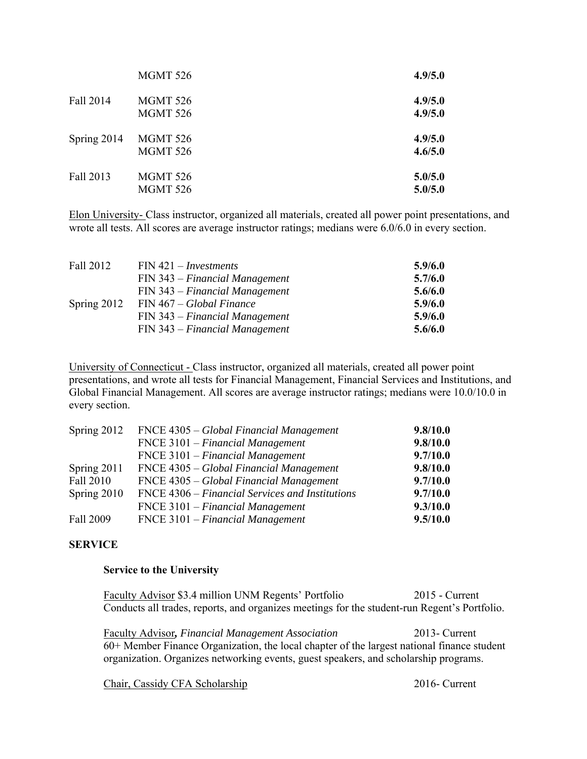|             | <b>MGMT 526</b>                    | 4.9/5.0            |
|-------------|------------------------------------|--------------------|
| Fall 2014   | MGMT 526<br><b>MGMT 526</b>        | 4.9/5.0<br>4.9/5.0 |
| Spring 2014 | <b>MGMT 526</b><br><b>MGMT 526</b> | 4.9/5.0<br>4.6/5.0 |
| Fall 2013   | MGMT 526<br>MGMT 526               | 5.0/5.0<br>5.0/5.0 |

Elon University- Class instructor, organized all materials, created all power point presentations, and wrote all tests. All scores are average instructor ratings; medians were 6.0/6.0 in every section.

| Fall 2012     | $FIN 421 - Investments$          | 5.9/6.0 |
|---------------|----------------------------------|---------|
|               | $FIN 343 - Financial Management$ | 5.7/6.0 |
|               | $FIN 343 - Financial Management$ | 5.6/6.0 |
| Spring $2012$ | $FIN 467 - Global Finance$       | 5.9/6.0 |
|               | $FIN 343 - Financial Management$ | 5.9/6.0 |
|               | $FIN 343 - Financial Management$ | 5.6/6.0 |

University of Connecticut - Class instructor, organized all materials, created all power point presentations, and wrote all tests for Financial Management, Financial Services and Institutions, and Global Financial Management. All scores are average instructor ratings; medians were 10.0/10.0 in every section.

| Spring 2012 | FNCE 4305 – Global Financial Management           | 9.8/10.0 |
|-------------|---------------------------------------------------|----------|
|             | $\text{FNCE } 3101 - \text{Financial Management}$ | 9.8/10.0 |
|             | $\text{FNCE } 3101 - \text{Financial Management}$ | 9.7/10.0 |
| Spring 2011 | FNCE 4305 – Global Financial Management           | 9.8/10.0 |
| Fall 2010   | FNCE 4305 – Global Financial Management           | 9.7/10.0 |
| Spring 2010 | FNCE 4306 – Financial Services and Institutions   | 9.7/10.0 |
|             | $\text{FNCE } 3101 - \text{Financial Management}$ | 9.3/10.0 |
| Fall 2009   | FNCE 3101 – Financial Management                  | 9.5/10.0 |

# **SERVICE**

## **Service to the University**

Faculty Advisor \$3.4 million UNM Regents' Portfolio 2015 - Current Conducts all trades, reports, and organizes meetings for the student-run Regent's Portfolio.

Faculty Advisor*, Financial Management Association* 2013- Current 60+ Member Finance Organization, the local chapter of the largest national finance student organization. Organizes networking events, guest speakers, and scholarship programs.

Chair, Cassidy CFA Scholarship 2016- Current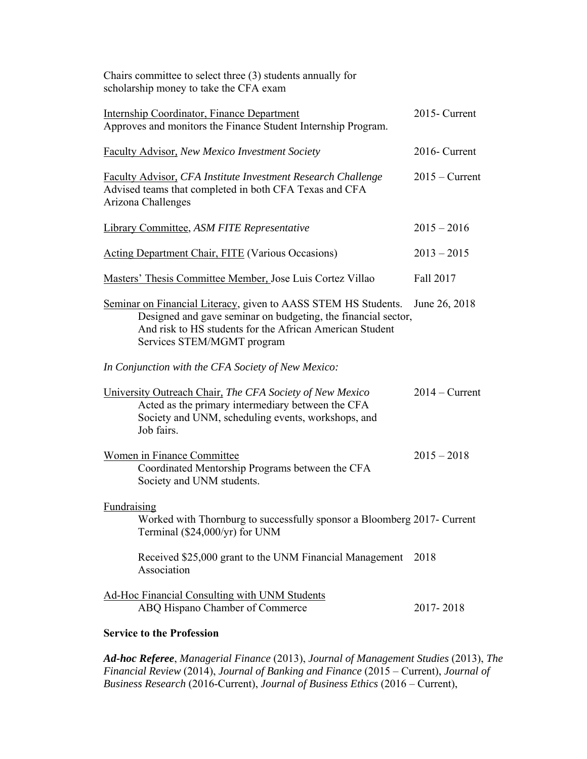| Chairs committee to select three (3) students annually for<br>scholarship money to take the CFA exam                                                                                                                      |                  |
|---------------------------------------------------------------------------------------------------------------------------------------------------------------------------------------------------------------------------|------------------|
| <b>Internship Coordinator, Finance Department</b><br>Approves and monitors the Finance Student Internship Program.                                                                                                        | 2015- Current    |
| <b>Faculty Advisor, New Mexico Investment Society</b>                                                                                                                                                                     | 2016- Current    |
| <b>Faculty Advisor, CFA Institute Investment Research Challenge</b><br>Advised teams that completed in both CFA Texas and CFA<br>Arizona Challenges                                                                       | $2015 -$ Current |
| <b>Library Committee, ASM FITE Representative</b>                                                                                                                                                                         | $2015 - 2016$    |
| <b>Acting Department Chair, FITE (Various Occasions)</b>                                                                                                                                                                  | $2013 - 2015$    |
| Masters' Thesis Committee Member, Jose Luis Cortez Villao                                                                                                                                                                 | Fall 2017        |
| Seminar on Financial Literacy, given to AASS STEM HS Students.<br>Designed and gave seminar on budgeting, the financial sector,<br>And risk to HS students for the African American Student<br>Services STEM/MGMT program | June 26, 2018    |
| In Conjunction with the CFA Society of New Mexico:                                                                                                                                                                        |                  |
| University Outreach Chair, The CFA Society of New Mexico<br>Acted as the primary intermediary between the CFA<br>Society and UNM, scheduling events, workshops, and<br>Job fairs.                                         | $2014 -$ Current |
| Women in Finance Committee<br>Coordinated Mentorship Programs between the CFA<br>Society and UNM students.                                                                                                                | $2015 - 2018$    |
| Fundraising<br>Worked with Thornburg to successfully sponsor a Bloomberg 2017- Current<br>Terminal (\$24,000/yr) for UNM                                                                                                  |                  |
| Received \$25,000 grant to the UNM Financial Management<br>Association                                                                                                                                                    | 2018             |
| <b>Ad-Hoc Financial Consulting with UNM Students</b><br>ABQ Hispano Chamber of Commerce                                                                                                                                   | 2017-2018        |
| <b>Service to the Profession</b>                                                                                                                                                                                          |                  |

*Ad-hoc Referee*, *Managerial Finance* (2013), *Journal of Management Studies* (2013), *The Financial Review* (2014), *Journal of Banking and Finance* (2015 – Current), *Journal of Business Research* (2016-Current), *Journal of Business Ethics* (2016 – Current),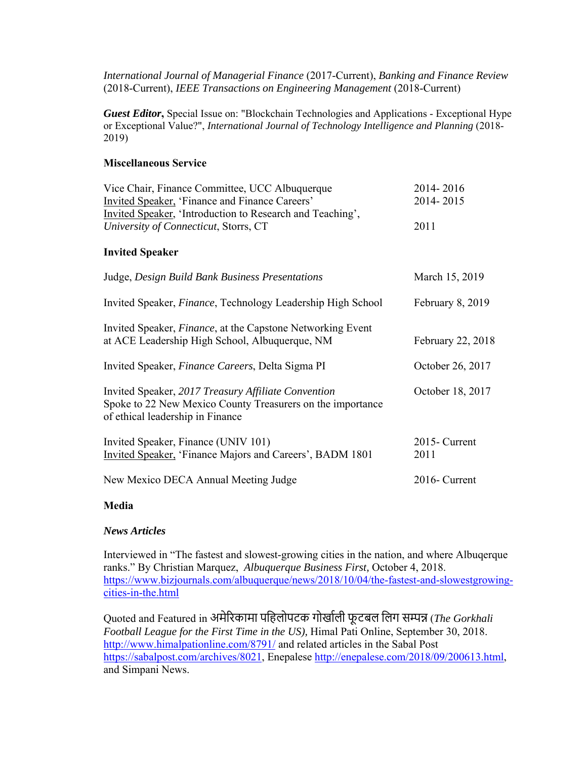*International Journal of Managerial Finance* (2017-Current), *Banking and Finance Review*  (2018-Current), *IEEE Transactions on Engineering Management* (2018-Current)

*Guest Editor***,** Special Issue on: "Blockchain Technologies and Applications - Exceptional Hype or Exceptional Value?", *International Journal of Technology Intelligence and Planning* (2018- 2019)

# **Miscellaneous Service**

| Vice Chair, Finance Committee, UCC Albuquerque<br>Invited Speaker, 'Finance and Finance Careers'                                                      | 2014-2016<br>2014-2015 |
|-------------------------------------------------------------------------------------------------------------------------------------------------------|------------------------|
| Invited Speaker, 'Introduction to Research and Teaching',<br>University of Connecticut, Storrs, CT                                                    | 2011                   |
| <b>Invited Speaker</b>                                                                                                                                |                        |
| Judge, Design Build Bank Business Presentations                                                                                                       | March 15, 2019         |
| Invited Speaker, Finance, Technology Leadership High School                                                                                           | February 8, 2019       |
| Invited Speaker, Finance, at the Capstone Networking Event<br>at ACE Leadership High School, Albuquerque, NM                                          | February 22, 2018      |
| Invited Speaker, Finance Careers, Delta Sigma PI                                                                                                      | October 26, 2017       |
| Invited Speaker, 2017 Treasury Affiliate Convention<br>Spoke to 22 New Mexico County Treasurers on the importance<br>of ethical leadership in Finance | October 18, 2017       |
| Invited Speaker, Finance (UNIV 101)<br>Invited Speaker, 'Finance Majors and Careers', BADM 1801                                                       | 2015- Current<br>2011  |
| New Mexico DECA Annual Meeting Judge                                                                                                                  | 2016- Current          |

# **Media**

# *News Articles*

Interviewed in "The fastest and slowest-growing cities in the nation, and where Albuqerque ranks." By Christian Marquez, *Albuquerque Business First,* October 4, 2018. https://www.bizjournals.com/albuquerque/news/2018/10/04/the-fastest-and-slowestgrowingcities-in-the.html

Quoted and Featured in अमेरिकामा पहिलोपटक गोर्खाली फूटबल लिग सम्पन्न (*The Gorkhali Football League for the First Time in the US),* Himal Pati Online, September 30, 2018. http://www.himalpationline.com/8791/ and related articles in the Sabal Post https://sabalpost.com/archives/8021, Enepalese http://enepalese.com/2018/09/200613.html, and Simpani News.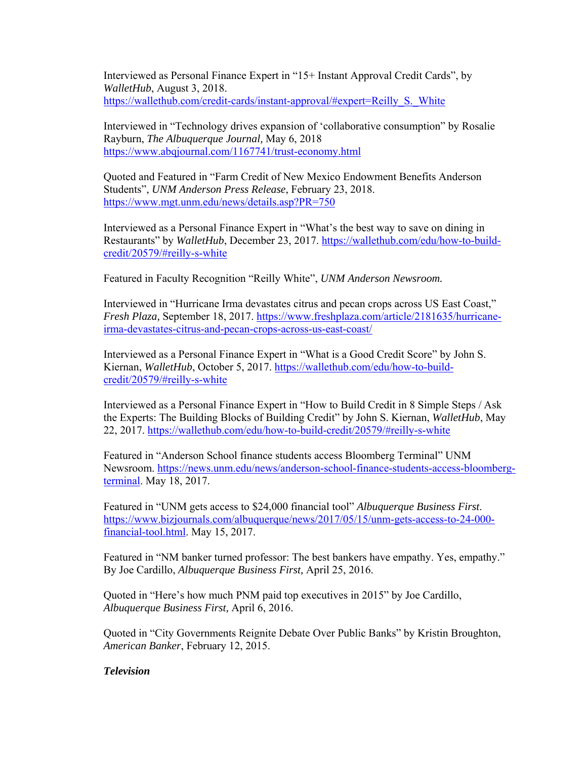Interviewed as Personal Finance Expert in "15+ Instant Approval Credit Cards", by *WalletHub*, August 3, 2018. https://wallethub.com/credit-cards/instant-approval/#expert=Reilly\_S.\_White

Interviewed in "Technology drives expansion of 'collaborative consumption" by Rosalie Rayburn, *The Albuquerque Journal,* May 6, 2018 https://www.abqjournal.com/1167741/trust-economy.html

Quoted and Featured in "Farm Credit of New Mexico Endowment Benefits Anderson Students", *UNM Anderson Press Release*, February 23, 2018. https://www.mgt.unm.edu/news/details.asp?PR=750

Interviewed as a Personal Finance Expert in "What's the best way to save on dining in Restaurants" by *WalletHub*, December 23, 2017. https://wallethub.com/edu/how-to-buildcredit/20579/#reilly-s-white

Featured in Faculty Recognition "Reilly White", *UNM Anderson Newsroom.* 

Interviewed in "Hurricane Irma devastates citrus and pecan crops across US East Coast," *Fresh Plaza,* September 18, 2017. https://www.freshplaza.com/article/2181635/hurricaneirma-devastates-citrus-and-pecan-crops-across-us-east-coast/

Interviewed as a Personal Finance Expert in "What is a Good Credit Score" by John S. Kiernan, *WalletHub*, October 5, 2017. https://wallethub.com/edu/how-to-buildcredit/20579/#reilly-s-white

Interviewed as a Personal Finance Expert in "How to Build Credit in 8 Simple Steps / Ask the Experts: The Building Blocks of Building Credit" by John S. Kiernan, *WalletHub*, May 22, 2017. https://wallethub.com/edu/how-to-build-credit/20579/#reilly-s-white

Featured in "Anderson School finance students access Bloomberg Terminal" UNM Newsroom. https://news.unm.edu/news/anderson-school-finance-students-access-bloombergterminal. May 18, 2017.

Featured in "UNM gets access to \$24,000 financial tool" *Albuquerque Business First*. https://www.bizjournals.com/albuquerque/news/2017/05/15/unm-gets-access-to-24-000 financial-tool.html. May 15, 2017.

Featured in "NM banker turned professor: The best bankers have empathy. Yes, empathy." By Joe Cardillo, *Albuquerque Business First,* April 25, 2016.

Quoted in "Here's how much PNM paid top executives in 2015" by Joe Cardillo, *Albuquerque Business First,* April 6, 2016.

Quoted in "City Governments Reignite Debate Over Public Banks" by Kristin Broughton, *American Banker*, February 12, 2015.

# *Television*